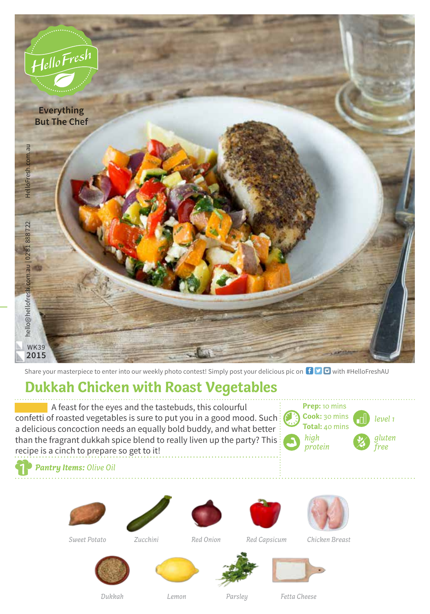

Share your masterpiece to enter into our weekly photo contest! Simply post your delicious pic on  $\bigoplus$   $\bigodot$  with #HelloFreshAU

## **Dukkah Chicken with Roast Vegetables**

A feast for the eyes and the tastebuds, this colourful confetti of roasted vegetables is sure to put you in a good mood. Such: a delicious concoction needs an equally bold buddy, and what better than the fragrant dukkah spice blend to really liven up the party? This

*level 1* **Prep:** 10 mins **Cook:** 30 mins **Total:** 40 mins *high protein gluten free*

*Pantry Items: Olive Oil*

recipe is a cinch to prepare so get to it!









*Sweet Potato Red Onion Chicken Breast Zucchini Red Capsicum*









*Lemon*

*Dukkah Parsley Fetta Cheese*